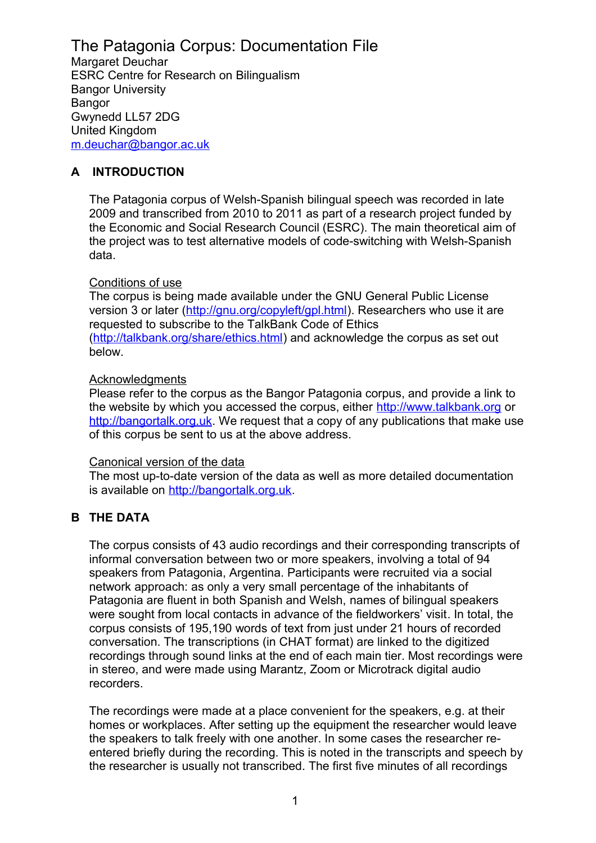# The Patagonia Corpus: Documentation File

Margaret Deuchar ESRC Centre for Research on Bilingualism Bangor University Bangor Gwynedd LL57 2DG United Kingdom [m.deuchar@bangor.ac.uk](mailto:m.deuchar@bangor.ac.uk)

## **A INTRODUCTION**

The Patagonia corpus of Welsh-Spanish bilingual speech was recorded in late 2009 and transcribed from 2010 to 2011 as part of a research project funded by the Economic and Social Research Council (ESRC). The main theoretical aim of the project was to test alternative models of code-switching with Welsh-Spanish data.

#### Conditions of use

The corpus is being made available under the GNU General Public License version 3 or later [\(http://gnu.org/copyleft/gpl.html\)](http://gnu.org/copyleft/gpl.html). Researchers who use it are requested to subscribe to the TalkBank Code of Ethics [\(http://talkbank.org/share/ethics.html\)](http://talkbank.org/share/ethics.html) and acknowledge the corpus as set out below.

#### **Acknowledgments**

Please refer to the corpus as the Bangor Patagonia corpus, and provide a link to the website by which you accessed the corpus, either [http://www.talkbank.org](http://www.talkbank.org/) or [http://bangortalk.org.uk.](http://siarad.org.uk/) We request that a copy of any publications that make use of this corpus be sent to us at the above address.

#### Canonical version of the data

The most up-to-date version of the data as well as more detailed documentation is available on [http://bangortalk.org.uk.](http://bangortalk.org.uk/)

### **B THE DATA**

The corpus consists of 43 audio recordings and their corresponding transcripts of informal conversation between two or more speakers, involving a total of 94 speakers from Patagonia, Argentina. Participants were recruited via a social network approach: as only a very small percentage of the inhabitants of Patagonia are fluent in both Spanish and Welsh, names of bilingual speakers were sought from local contacts in advance of the fieldworkers' visit. In total, the corpus consists of 195,190 words of text from just under 21 hours of recorded conversation. The transcriptions (in CHAT format) are linked to the digitized recordings through sound links at the end of each main tier. Most recordings were in stereo, and were made using Marantz, Zoom or Microtrack digital audio recorders.

The recordings were made at a place convenient for the speakers, e.g. at their homes or workplaces. After setting up the equipment the researcher would leave the speakers to talk freely with one another. In some cases the researcher reentered briefly during the recording. This is noted in the transcripts and speech by the researcher is usually not transcribed. The first five minutes of all recordings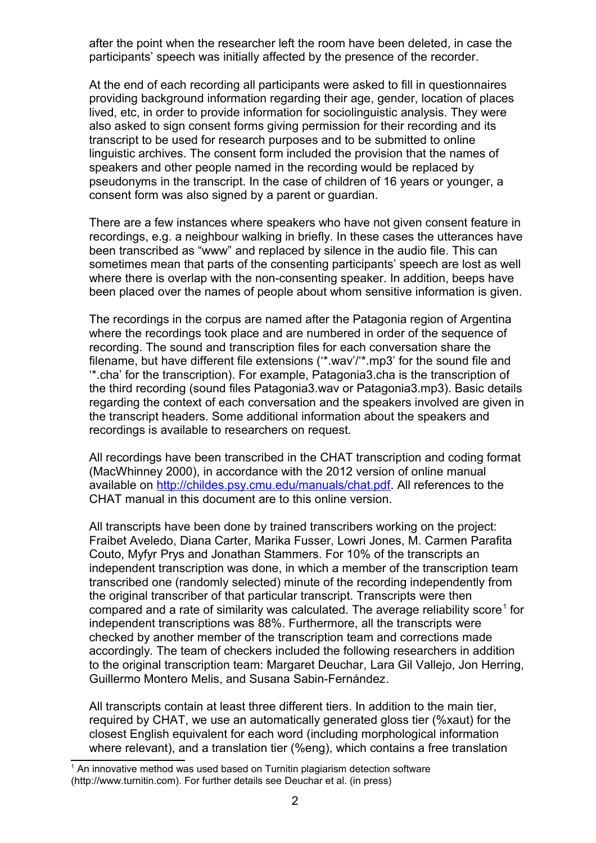after the point when the researcher left the room have been deleted, in case the participants' speech was initially affected by the presence of the recorder.

At the end of each recording all participants were asked to fill in questionnaires providing background information regarding their age, gender, location of places lived, etc, in order to provide information for sociolinguistic analysis. They were also asked to sign consent forms giving permission for their recording and its transcript to be used for research purposes and to be submitted to online linguistic archives. The consent form included the provision that the names of speakers and other people named in the recording would be replaced by pseudonyms in the transcript. In the case of children of 16 years or younger, a consent form was also signed by a parent or guardian.

There are a few instances where speakers who have not given consent feature in recordings, e.g. a neighbour walking in briefly. In these cases the utterances have been transcribed as "www" and replaced by silence in the audio file. This can sometimes mean that parts of the consenting participants' speech are lost as well where there is overlap with the non-consenting speaker. In addition, beeps have been placed over the names of people about whom sensitive information is given.

The recordings in the corpus are named after the Patagonia region of Argentina where the recordings took place and are numbered in order of the sequence of recording. The sound and transcription files for each conversation share the filename, but have different file extensions ('\*.wav'/'\*.mp3' for the sound file and '\*.cha' for the transcription). For example, Patagonia3.cha is the transcription of the third recording (sound files Patagonia3.wav or Patagonia3.mp3). Basic details regarding the context of each conversation and the speakers involved are given in the transcript headers. Some additional information about the speakers and recordings is available to researchers on request.

All recordings have been transcribed in the CHAT transcription and coding format (MacWhinney 2000), in accordance with the 2012 version of online manual available on [http://childes.psy.cmu.edu/manuals/chat.pdf.](http://childes.psy.cmu.edu/manuals/chat.pdf) All references to the CHAT manual in this document are to this online version.

All transcripts have been done by trained transcribers working on the project: Fraibet Aveledo, Diana Carter, Marika Fusser, Lowri Jones, M. Carmen Parafita Couto, Myfyr Prys and Jonathan Stammers. For 10% of the transcripts an independent transcription was done, in which a member of the transcription team transcribed one (randomly selected) minute of the recording independently from the original transcriber of that particular transcript. Transcripts were then compared and a rate of similarity was calculated. The average reliability score<sup>[1](#page-1-0)</sup> for independent transcriptions was 88%. Furthermore, all the transcripts were checked by another member of the transcription team and corrections made accordingly. The team of checkers included the following researchers in addition to the original transcription team: Margaret Deuchar, Lara Gil Vallejo, Jon Herring, Guillermo Montero Melis, and Susana Sabin-Fernández.

All transcripts contain at least three different tiers. In addition to the main tier, required by CHAT, we use an automatically generated gloss tier (%xaut) for the closest English equivalent for each word (including morphological information where relevant), and a translation tier (%eng), which contains a free translation

<span id="page-1-0"></span><sup>&</sup>lt;sup>1</sup> An innovative method was used based on Turnitin plagiarism detection software (http://www.turnitin.com). For further details see Deuchar et al. (in press)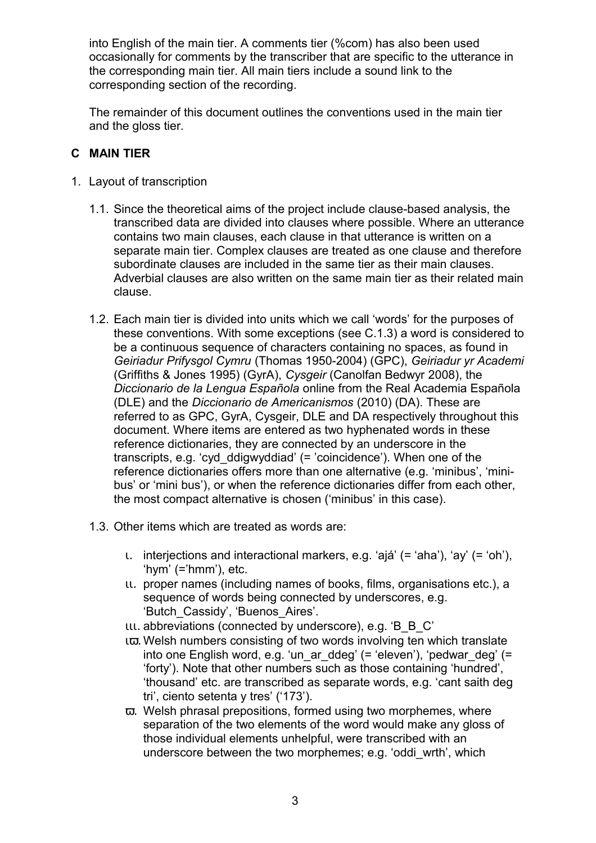into English of the main tier. A comments tier (%com) has also been used occasionally for comments by the transcriber that are specific to the utterance in the corresponding main tier. All main tiers include a sound link to the corresponding section of the recording.

The remainder of this document outlines the conventions used in the main tier and the gloss tier.

## **C MAIN TIER**

- 1. Layout of transcription
	- 1.1. Since the theoretical aims of the project include clause-based analysis, the transcribed data are divided into clauses where possible. Where an utterance contains two main clauses, each clause in that utterance is written on a separate main tier. Complex clauses are treated as one clause and therefore subordinate clauses are included in the same tier as their main clauses. Adverbial clauses are also written on the same main tier as their related main clause.
	- 1.2. Each main tier is divided into units which we call 'words' for the purposes of these conventions. With some exceptions (see C.1.3) a word is considered to be a continuous sequence of characters containing no spaces, as found in *Geiriadur Prifysgol Cymru* (Thomas 1950-2004) (GPC), *Geiriadur yr Academi* (Griffiths & Jones 1995) (GyrA), *Cysgeir* (Canolfan Bedwyr 2008), the *Diccionario de la Lengua Española* online from the Real Academia Española (DLE) and the *Diccionario de Americanismos* (2010) (DA). These are referred to as GPC, GyrA, Cysgeir, DLE and DA respectively throughout this document. Where items are entered as two hyphenated words in these reference dictionaries, they are connected by an underscore in the transcripts, e.g. 'cyd\_ddigwyddiad' (= 'coincidence'). When one of the reference dictionaries offers more than one alternative (e.g. 'minibus', 'minibus' or 'mini bus'), or when the reference dictionaries differ from each other, the most compact alternative is chosen ('minibus' in this case).
	- 1.3. Other items which are treated as words are:
		- ι. interjections and interactional markers, e.g. 'ajá' (= 'aha'), 'ay' (= 'oh'), 'hym' (='hmm'), etc.
		- ιι. proper names (including names of books, films, organisations etc.), a sequence of words being connected by underscores, e.g. 'Butch\_Cassidy', 'Buenos\_Aires'.
		- ιιι. abbreviations (connected by underscore), e.g. 'B\_B\_C'
		- ιϖ. Welsh numbers consisting of two words involving ten which translate into one English word, e.g. 'un\_ar\_ddeg' (= 'eleven'), 'pedwar\_deg' (= 'forty'). Note that other numbers such as those containing 'hundred', 'thousand' etc. are transcribed as separate words, e.g. 'cant saith deg tri', ciento setenta y tres' ('173').
		- ϖ. Welsh phrasal prepositions, formed using two morphemes, where separation of the two elements of the word would make any gloss of those individual elements unhelpful, were transcribed with an underscore between the two morphemes; e.g. 'oddi\_wrth', which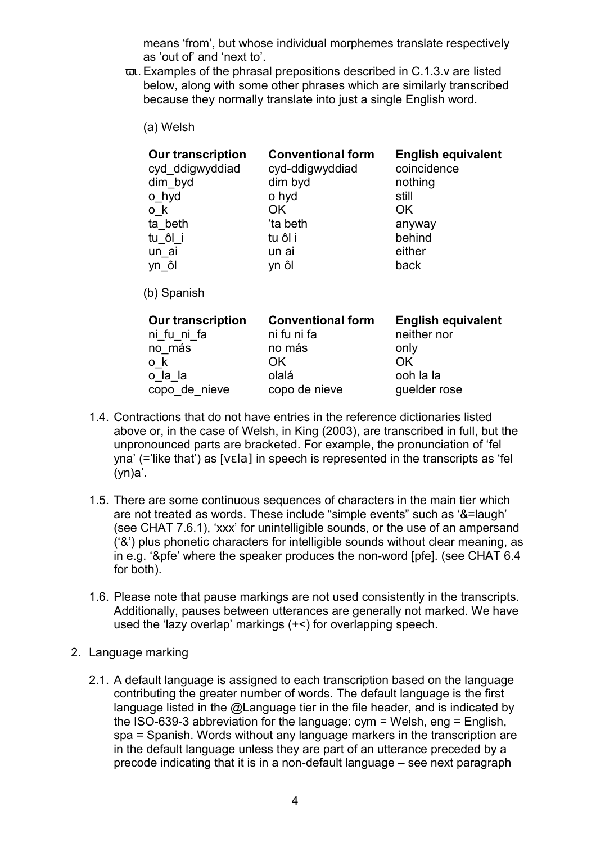means 'from', but whose individual morphemes translate respectively as 'out of' and 'next to'.

- ϖι. Examples of the phrasal prepositions described in C.1.3.v are listed below, along with some other phrases which are similarly transcribed because they normally translate into just a single English word.
	- (a) Welsh

| <b>Our transcription</b> | <b>Conventional form</b> | <b>English equivalent</b> |
|--------------------------|--------------------------|---------------------------|
| cyd ddigwyddiad          | cyd-ddigwyddiad          | coincidence               |
| dim_byd                  | dim byd                  | nothing                   |
| o_hyd                    | o hyd                    | still                     |
| o k                      | OK.                      | <b>OK</b>                 |
| ta beth                  | ta beth                  | anyway                    |
| tu ôl i                  | tu ôl i                  | behind                    |
| un_ai                    | un ai                    | either                    |
| yn ôl                    | yn ôl                    | back                      |

(b) Spanish

| <b>Our transcription</b> | <b>Conventional form</b> | <b>English equivalent</b> |
|--------------------------|--------------------------|---------------------------|
| ni fu ni fa              | ni fu ni fa              | neither nor               |
| no más                   | no más                   | only                      |
| o k                      | OK.                      | OK                        |
| o la la                  | olalá                    | ooh la la                 |
| copo de nieve            | copo de nieve            | guelder rose              |

- 1.4. Contractions that do not have entries in the reference dictionaries listed above or, in the case of Welsh, in King (2003), are transcribed in full, but the unpronounced parts are bracketed. For example, the pronunciation of 'fel yna' (='like that') as [vɛla] in speech is represented in the transcripts as 'fel  $(vn)a'$ .
- 1.5. There are some continuous sequences of characters in the main tier which are not treated as words. These include "simple events" such as '&=laugh' (see CHAT 7.6.1), 'xxx' for unintelligible sounds, or the use of an ampersand ('&') plus phonetic characters for intelligible sounds without clear meaning, as in e.g. '&pfe' where the speaker produces the non-word [pfe]. (see CHAT 6.4 for both).
- 1.6. Please note that pause markings are not used consistently in the transcripts. Additionally, pauses between utterances are generally not marked. We have used the 'lazy overlap' markings (+<) for overlapping speech.
- 2. Language marking
	- 2.1. A default language is assigned to each transcription based on the language contributing the greater number of words. The default language is the first language listed in the @Language tier in the file header, and is indicated by the ISO-639-3 abbreviation for the language: cym = Welsh, eng = English, spa = Spanish. Words without any language markers in the transcription are in the default language unless they are part of an utterance preceded by a precode indicating that it is in a non-default language – see next paragraph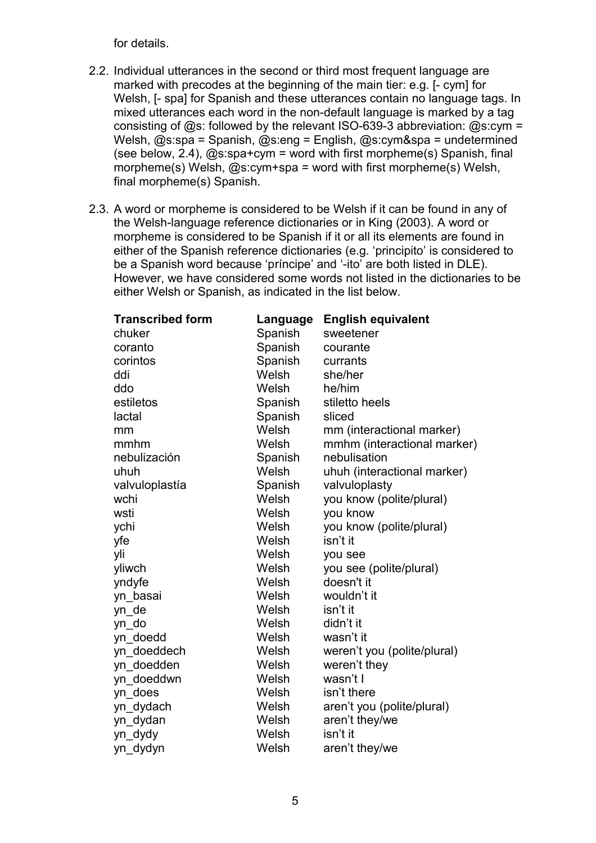for details.

- 2.2. Individual utterances in the second or third most frequent language are marked with precodes at the beginning of the main tier: e.g. [- cym] for Welsh, [- spa] for Spanish and these utterances contain no language tags. In mixed utterances each word in the non-default language is marked by a tag consisting of  $@s$ : followed by the relevant ISO-639-3 abbreviation:  $@s$ :cym = Welsh, @s:spa = Spanish, @s:eng = English, @s:cym&spa = undetermined (see below, 2.4),  $\omega$ s:spa+cym = word with first morpheme(s) Spanish, final morpheme(s) Welsh, @s:cym+spa = word with first morpheme(s) Welsh, final morpheme(s) Spanish.
- 2.3. A word or morpheme is considered to be Welsh if it can be found in any of the Welsh-language reference dictionaries or in King (2003). A word or morpheme is considered to be Spanish if it or all its elements are found in either of the Spanish reference dictionaries (e.g. 'principito' is considered to be a Spanish word because 'príncipe' and '-ito' are both listed in DLE). However, we have considered some words not listed in the dictionaries to be either Welsh or Spanish, as indicated in the list below.

| <b>Transcribed form</b> | Language | <b>English equivalent</b>   |
|-------------------------|----------|-----------------------------|
| chuker                  | Spanish  | sweetener                   |
| coranto                 | Spanish  | courante                    |
| corintos                | Spanish  | currants                    |
| ddi                     | Welsh    | she/her                     |
| ddo                     | Welsh    | he/him                      |
| estiletos               | Spanish  | stiletto heels              |
| lactal                  | Spanish  | sliced                      |
| mm                      | Welsh    | mm (interactional marker)   |
| mmhm                    | Welsh    | mmhm (interactional marker) |
| nebulización            | Spanish  | nebulisation                |
| uhuh                    | Welsh    | uhuh (interactional marker) |
| valvuloplastía          | Spanish  | valvuloplasty               |
| wchi                    | Welsh    | you know (polite/plural)    |
| wsti                    | Welsh    | you know                    |
| ychi                    | Welsh    | you know (polite/plural)    |
| yfe                     | Welsh    | isn't it                    |
| yli                     | Welsh    | you see                     |
| yliwch                  | Welsh    | you see (polite/plural)     |
| yndyfe                  | Welsh    | doesn't it                  |
| yn basai                | Welsh    | wouldn't it                 |
| yn_de                   | Welsh    | isn't it                    |
| yn_do                   | Welsh    | didn't it                   |
| yn_doedd                | Welsh    | wasn't it                   |
| yn doeddech             | Welsh    | weren't you (polite/plural) |
| yn doedden              | Welsh    | weren't they                |
| yn doeddwn              | Welsh    | wasn't I                    |
| yn does                 | Welsh    | isn't there                 |
| yn_dydach               | Welsh    | aren't you (polite/plural)  |
| yn dydan                | Welsh    | aren't they/we              |
| yn_dydy                 | Welsh    | isn't it                    |
| yn_dydyn                | Welsh    | aren't they/we              |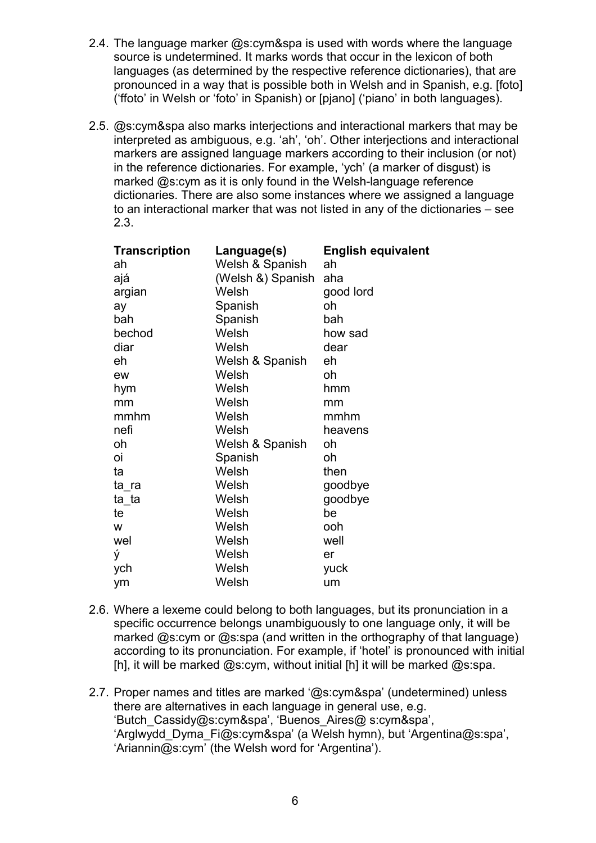- 2.4. The language marker @s:cym&spa is used with words where the language source is undetermined. It marks words that occur in the lexicon of both languages (as determined by the respective reference dictionaries), that are pronounced in a way that is possible both in Welsh and in Spanish, e.g. [foto] ('ffoto' in Welsh or 'foto' in Spanish) or [pjano] ('piano' in both languages).
- 2.5. @s:cym&spa also marks interjections and interactional markers that may be interpreted as ambiguous, e.g. 'ah', 'oh'. Other interjections and interactional markers are assigned language markers according to their inclusion (or not) in the reference dictionaries. For example, 'ych' (a marker of disgust) is marked @s:cym as it is only found in the Welsh-language reference dictionaries. There are also some instances where we assigned a language to an interactional marker that was not listed in any of the dictionaries – see 2.3.

| <b>Transcription</b> | Language(s)       | <b>English equivalent</b> |
|----------------------|-------------------|---------------------------|
| ah                   | Welsh & Spanish   | ah                        |
| ajá                  | (Welsh &) Spanish | aha                       |
| argian               | Welsh             | good lord                 |
| ay                   | Spanish           | oh                        |
| bah                  | Spanish           | bah                       |
| bechod               | Welsh             | how sad                   |
| diar                 | Welsh             | dear                      |
| eh                   | Welsh & Spanish   | eh                        |
| ew                   | Welsh             | oh                        |
| hym                  | Welsh             | hmm                       |
| mm                   | Welsh             | mm                        |
| mmhm                 | Welsh             | mmhm                      |
| nefi                 | Welsh             | heavens                   |
| oh                   | Welsh & Spanish   | oh                        |
| οi                   | Spanish           | oh                        |
| ta                   | Welsh             | then                      |
| ta_ra                | Welsh             | goodbye                   |
| ta ta                | Welsh             | goodbye                   |
| te                   | Welsh             | be                        |
| W                    | Welsh             | ooh                       |
| wel                  | Welsh             | well                      |
| ý                    | Welsh             | er                        |
| ych                  | Welsh             | yuck                      |
| ym                   | Welsh             | um                        |

- 2.6. Where a lexeme could belong to both languages, but its pronunciation in a specific occurrence belongs unambiguously to one language only, it will be marked @s:cym or @s:spa (and written in the orthography of that language) according to its pronunciation. For example, if 'hotel' is pronounced with initial [h], it will be marked  $@s:cvm$ , without initial [h] it will be marked  $@s:spa$ .
- 2.7. Proper names and titles are marked '@s:cym&spa' (undetermined) unless there are alternatives in each language in general use, e.g. 'Butch\_Cassidy@s:cym&spa', 'Buenos\_Aires@ s:cym&spa', 'Arglwydd\_Dyma\_Fi@s:cym&spa' (a Welsh hymn), but 'Argentina@s:spa', 'Ariannin@s:cym' (the Welsh word for 'Argentina').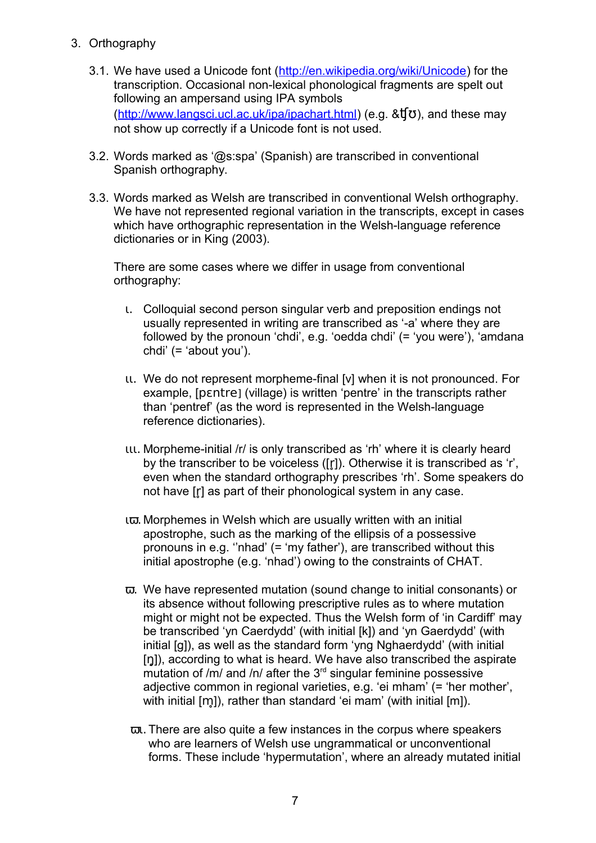- 3. Orthography
	- 3.1. We have used a Unicode font [\(http://en.wikipedia.org/wiki/Unicode\)](http://en.wikipedia.org/wiki/Unicode) for the transcription. Occasional non-lexical phonological fragments are spelt out following an ampersand using IPA symbols  $(\frac{http://www.langsci.ucl.ac.uk/ipa/ipachart.html}{e.g. 8~f\sigma}$ , and these may not show up correctly if a Unicode font is not used.
	- 3.2. Words marked as '@s:spa' (Spanish) are transcribed in conventional Spanish orthography.
	- 3.3. Words marked as Welsh are transcribed in conventional Welsh orthography. We have not represented regional variation in the transcripts, except in cases which have orthographic representation in the Welsh-language reference dictionaries or in King (2003).

There are some cases where we differ in usage from conventional orthography:

- ι. Colloquial second person singular verb and preposition endings not usually represented in writing are transcribed as '-a' where they are followed by the pronoun 'chdi', e.g. 'oedda chdi' (= 'you were'), 'amdana chdi' (= 'about you').
- ιι. We do not represent morpheme-final [v] when it is not pronounced. For example, [pɛntre] (village) is written 'pentre' in the transcripts rather than 'pentref' (as the word is represented in the Welsh-language reference dictionaries).
- ιιι. Morpheme-initial /r/ is only transcribed as 'rh' where it is clearly heard by the transcriber to be voiceless ([r̥]). Otherwise it is transcribed as 'r', even when the standard orthography prescribes 'rh'. Some speakers do not have [r] as part of their phonological system in any case.
- ιϖ. Morphemes in Welsh which are usually written with an initial apostrophe, such as the marking of the ellipsis of a possessive pronouns in e.g. ''nhad' (= 'my father'), are transcribed without this initial apostrophe (e.g. 'nhad') owing to the constraints of CHAT.
- ϖ. We have represented mutation (sound change to initial consonants) or its absence without following prescriptive rules as to where mutation might or might not be expected. Thus the Welsh form of 'in Cardiff' may be transcribed 'yn Caerdydd' (with initial [k]) and 'yn Gaerdydd' (with initial [g]), as well as the standard form 'yng Nghaerdydd' (with initial [ŋ]), according to what is heard. We have also transcribed the aspirate mutation of /m/ and /n/ after the 3<sup>rd</sup> singular feminine possessive adjective common in regional varieties, e.g. 'ei mham' (= 'her mother', with initial  $[m]$ ), rather than standard 'ei mam' (with initial  $[m]$ ).
- ϖι. There are also quite a few instances in the corpus where speakers who are learners of Welsh use ungrammatical or unconventional forms. These include 'hypermutation', where an already mutated initial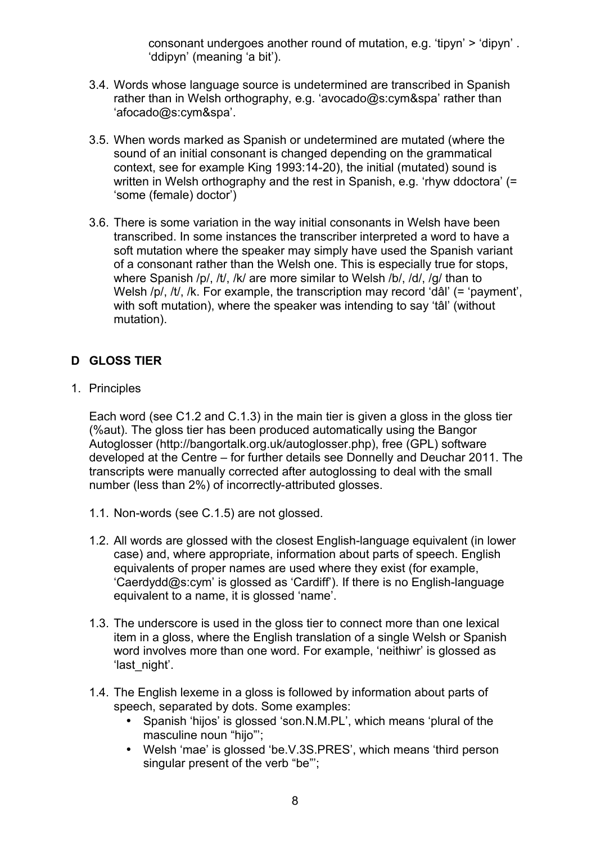consonant undergoes another round of mutation, e.g. 'tipyn' > 'dipyn' . 'ddipyn' (meaning 'a bit').

- 3.4. Words whose language source is undetermined are transcribed in Spanish rather than in Welsh orthography, e.g. 'avocado@s:cym&spa' rather than 'afocado@s:cym&spa'.
- 3.5. When words marked as Spanish or undetermined are mutated (where the sound of an initial consonant is changed depending on the grammatical context, see for example King 1993:14-20), the initial (mutated) sound is written in Welsh orthography and the rest in Spanish, e.g. 'rhyw ddoctora' (= 'some (female) doctor')
- 3.6. There is some variation in the way initial consonants in Welsh have been transcribed. In some instances the transcriber interpreted a word to have a soft mutation where the speaker may simply have used the Spanish variant of a consonant rather than the Welsh one. This is especially true for stops, where Spanish /p/, /t/, /k/ are more similar to Welsh /b/, /d/, /q/ than to Welsh /p/, /t/, /k. For example, the transcription may record 'dâl' (= 'payment', with soft mutation), where the speaker was intending to say 'tâl' (without mutation).

# **D GLOSS TIER**

1. Principles

Each word (see C1.2 and C.1.3) in the main tier is given a gloss in the gloss tier (%aut). The gloss tier has been produced automatically using the Bangor Autoglosser (http://bangortalk.org.uk/autoglosser.php), free (GPL) software developed at the Centre – for further details see Donnelly and Deuchar 2011. The transcripts were manually corrected after autoglossing to deal with the small number (less than 2%) of incorrectly-attributed glosses.

- 1.1. Non-words (see C.1.5) are not glossed.
- 1.2. All words are glossed with the closest English-language equivalent (in lower case) and, where appropriate, information about parts of speech. English equivalents of proper names are used where they exist (for example, 'Caerdydd@s:cym' is glossed as 'Cardiff'). If there is no English-language equivalent to a name, it is glossed 'name'.
- 1.3. The underscore is used in the gloss tier to connect more than one lexical item in a gloss, where the English translation of a single Welsh or Spanish word involves more than one word. For example, 'neithiwr' is glossed as 'last\_night'.
- 1.4. The English lexeme in a gloss is followed by information about parts of speech, separated by dots. Some examples:
	- Spanish 'hijos' is glossed 'son.N.M.PL', which means 'plural of the masculine noun "hijo"';
	- Welsh 'mae' is glossed 'be.V.3S.PRES', which means 'third person singular present of the verb "be":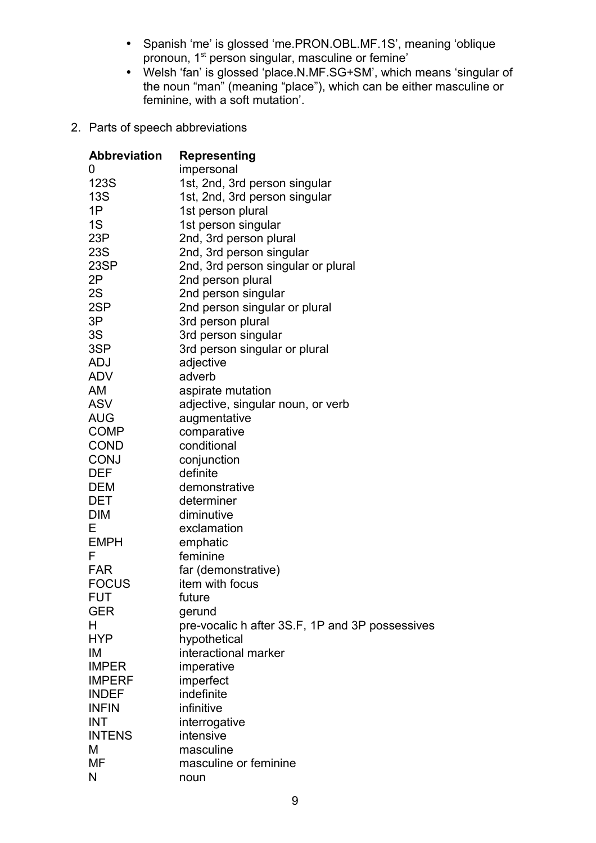- Spanish 'me' is glossed 'me.PRON.OBL.MF.1S', meaning 'oblique pronoun, 1<sup>st</sup> person singular, masculine or femine'
- Welsh 'fan' is glossed 'place.N.MF.SG+SM', which means 'singular of the noun "man" (meaning "place"), which can be either masculine or feminine, with a soft mutation'.
- 2. Parts of speech abbreviations

| <b>Abbreviation</b> | <b>Representing</b>                             |
|---------------------|-------------------------------------------------|
| O                   | impersonal                                      |
| 123S                | 1st, 2nd, 3rd person singular                   |
| <b>13S</b>          | 1st, 2nd, 3rd person singular                   |
| 1P                  | 1st person plural                               |
| 1S                  | 1st person singular                             |
| 23P                 | 2nd, 3rd person plural                          |
| 23S                 | 2nd, 3rd person singular                        |
| 23SP                | 2nd, 3rd person singular or plural              |
| 2Ρ                  | 2nd person plural                               |
| 2S                  | 2nd person singular                             |
| 2SP                 | 2nd person singular or plural                   |
| 3P                  | 3rd person plural                               |
| 3S                  | 3rd person singular                             |
| 3SP                 | 3rd person singular or plural                   |
| ADJ                 | adjective                                       |
| <b>ADV</b>          | adverb                                          |
| AM                  | aspirate mutation                               |
| ASV                 | adjective, singular noun, or verb               |
| AUG                 | augmentative                                    |
| <b>COMP</b>         | comparative                                     |
| <b>COND</b>         | conditional                                     |
| <b>CONJ</b>         | conjunction                                     |
| DEF                 | definite                                        |
| DEM                 | demonstrative                                   |
| DET                 | determiner                                      |
| <b>DIM</b>          | diminutive                                      |
| Е                   | exclamation                                     |
| <b>EMPH</b>         | emphatic                                        |
| F                   | feminine                                        |
| <b>FAR</b>          | far (demonstrative)                             |
| <b>FOCUS</b>        | item with focus                                 |
| <b>FUT</b>          | future                                          |
| <b>GER</b>          | gerund                                          |
| н                   | pre-vocalic h after 3S.F, 1P and 3P possessives |
| <b>HYP</b>          | hypothetical                                    |
| ΙM                  | interactional marker                            |
| <b>IMPER</b>        | imperative                                      |
| <b>IMPERF</b>       | imperfect                                       |
| <b>INDEF</b>        | indefinite                                      |
| <b>INFIN</b>        | infinitive                                      |
| INT                 | interrogative                                   |
| <b>INTENS</b>       | intensive                                       |
| M                   | masculine                                       |
| MF                  | masculine or feminine                           |
| N                   | noun                                            |
|                     |                                                 |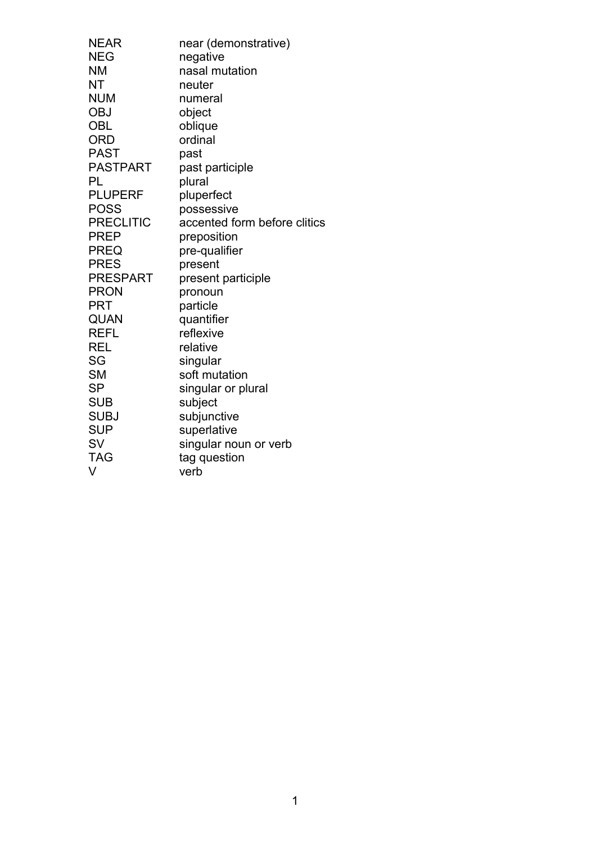| <b>NEAR</b>      | near (demonstrative)         |
|------------------|------------------------------|
| <b>NEG</b>       | negative                     |
| <b>NM</b>        | nasal mutation               |
| NT               | neuter                       |
| <b>NUM</b>       | numeral                      |
| <b>OBJ</b>       | object                       |
| <b>OBL</b>       | oblique                      |
| <b>ORD</b>       | ordinal                      |
| <b>PAST</b>      | past                         |
| <b>PASTPART</b>  | past participle              |
| PL               | plural                       |
| <b>PLUPERF</b>   | pluperfect                   |
| <b>POSS</b>      | possessive                   |
| <b>PRECLITIC</b> | accented form before clitics |
| <b>PREP</b>      | preposition                  |
| <b>PREQ</b>      | pre-qualifier                |
| <b>PRES</b>      | present                      |
| <b>PRESPART</b>  | present participle           |
| <b>PRON</b>      | pronoun                      |
| <b>PRT</b>       | particle                     |
| QUAN             | quantifier                   |
| <b>REFL</b>      | reflexive                    |
| <b>REL</b>       | relative                     |
| SG               | singular                     |
| <b>SM</b>        | soft mutation                |
| <b>SP</b>        | singular or plural           |
| <b>SUB</b>       | subject                      |
| <b>SUBJ</b>      | subjunctive                  |
| <b>SUP</b>       | superlative                  |
| <b>SV</b>        | singular noun or verb        |
| <b>TAG</b>       | tag question                 |
| V                | verb                         |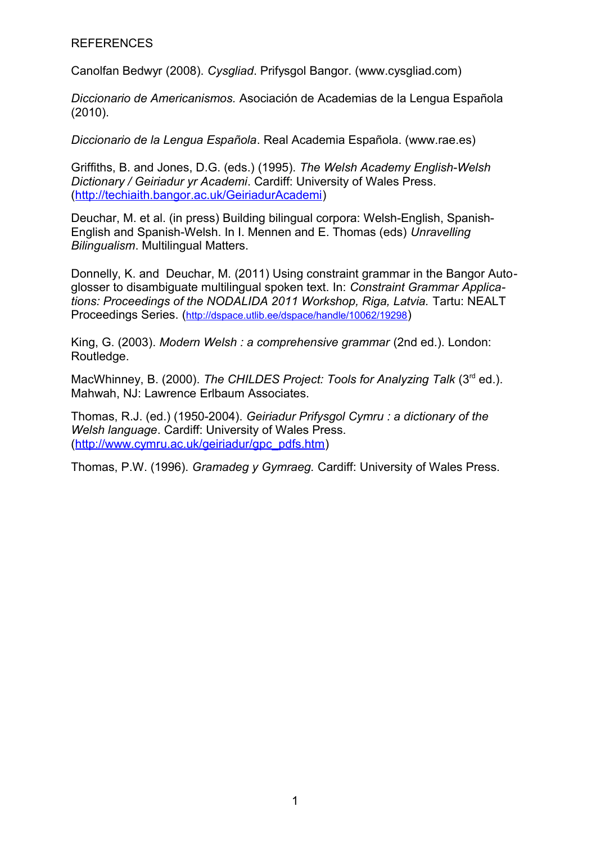#### **REFERENCES**

Canolfan Bedwyr (2008). *Cysgliad*. Prifysgol Bangor. (www.cysgliad.com)

*Diccionario de Americanismos.* Asociación de Academias de la Lengua Española (2010).

*Diccionario de la Lengua Española*. Real Academia Española. (www.rae.es)

Griffiths, B. and Jones, D.G. (eds.) (1995). *The Welsh Academy English-Welsh Dictionary / Geiriadur yr Academi*. Cardiff: University of Wales Press. [\(http://techiaith.bangor.ac.uk/GeiriadurAcademi\)](http://techiaith.bangor.ac.uk/GeiriadurAcademi)

Deuchar, M. et al. (in press) Building bilingual corpora: Welsh-English, Spanish-English and Spanish-Welsh. In I. Mennen and E. Thomas (eds) *Unravelling Bilingualism*. Multilingual Matters.

Donnelly, K. and Deuchar, M. (2011) Using constraint grammar in the Bangor Autoglosser to disambiguate multilingual spoken text. In: *Constraint Grammar Applications: Proceedings of the NODALIDA 2011 Workshop, Riga, Latvia.* Tartu: NEALT Proceedings Series. (<http://dspace.utlib.ee/dspace/handle/10062/19298>)

King, G. (2003). *Modern Welsh : a comprehensive grammar* (2nd ed.). London: Routledge.

MacWhinney, B. (2000). *The CHILDES Project: Tools for Analyzing Talk* (3<sup>rd</sup> ed.). Mahwah, NJ: Lawrence Erlbaum Associates.

Thomas, R.J. (ed.) (1950-2004). *Geiriadur Prifysgol Cymru : a dictionary of the Welsh language*. Cardiff: University of Wales Press. [\(http://www.cymru.ac.uk/geiriadur/gpc\\_pdfs.htm\)](http://www.cymru.ac.uk/geiriadur/gpc_pdfs.htm)

Thomas, P.W. (1996). *Gramadeg y Gymraeg.* Cardiff: University of Wales Press.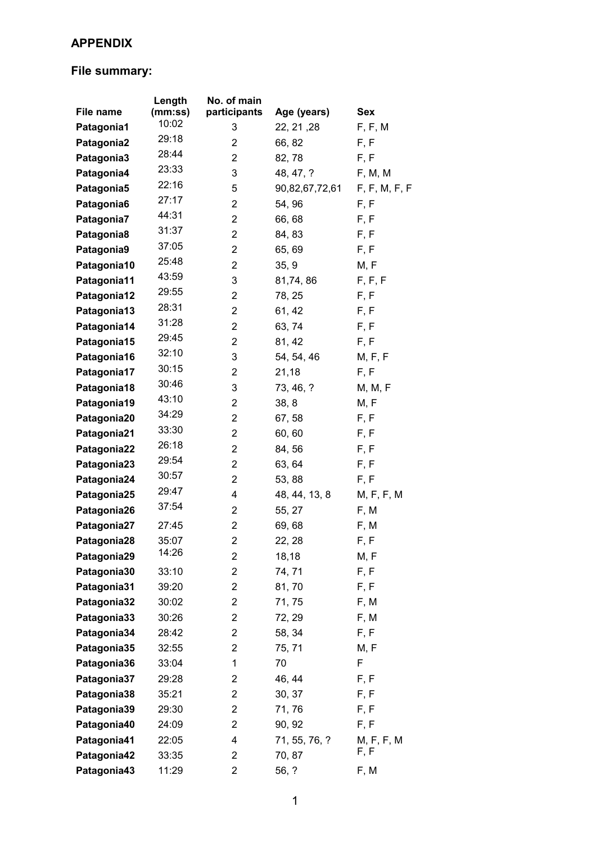# **APPENDIX**

# **File summary:**

|             | Length  | No. of main    |                |               |
|-------------|---------|----------------|----------------|---------------|
| File name   | (mm:ss) | participants   | Age (years)    | Sex           |
| Patagonia1  | 10:02   | 3              | 22, 21, 28     | F, F, M       |
| Patagonia2  | 29:18   | 2              | 66, 82         | F, F          |
| Patagonia3  | 28:44   | 2              | 82,78          | F, F          |
| Patagonia4  | 23:33   | 3              | 48, 47, ?      | F, M, M       |
| Patagonia5  | 22:16   | 5              | 90,82,67,72,61 | F, F, M, F, F |
| Patagonia6  | 27:17   | $\overline{2}$ | 54, 96         | F, F          |
| Patagonia7  | 44:31   | 2              | 66,68          | F, F          |
| Patagonia8  | 31:37   | $\overline{2}$ | 84, 83         | F, F          |
| Patagonia9  | 37:05   | $\overline{c}$ | 65, 69         | F, F          |
| Patagonia10 | 25:48   | $\overline{c}$ | 35, 9          | M, F          |
| Patagonia11 | 43:59   | 3              | 81,74,86       | F, F, F       |
| Patagonia12 | 29:55   | 2              | 78, 25         | F, F          |
| Patagonia13 | 28:31   | $\overline{c}$ | 61, 42         | F, F          |
| Patagonia14 | 31:28   | $\overline{2}$ | 63, 74         | F, F          |
| Patagonia15 | 29:45   | $\overline{c}$ | 81, 42         | F, F          |
| Patagonia16 | 32:10   | 3              | 54, 54, 46     | M, F, F       |
| Patagonia17 | 30:15   | $\overline{2}$ | 21,18          | F, F          |
| Patagonia18 | 30:46   | 3              | 73, 46, ?      | M, M, F       |
| Patagonia19 | 43:10   | $\overline{c}$ | 38, 8          | M, F          |
| Patagonia20 | 34:29   | 2              | 67, 58         | F, F          |
| Patagonia21 | 33:30   | $\overline{2}$ | 60,60          | F, F          |
| Patagonia22 | 26:18   | 2              | 84, 56         | F, F          |
| Patagonia23 | 29:54   | 2              | 63, 64         | F, F          |
| Patagonia24 | 30:57   | $\overline{2}$ | 53, 88         | F, F          |
| Patagonia25 | 29:47   | 4              | 48, 44, 13, 8  | M, F, F, M    |
| Patagonia26 | 37:54   | $\overline{c}$ | 55, 27         | F, M          |
| Patagonia27 | 27:45   | 2              | 69,68          | F, M          |
| Patagonia28 | 35:07   | $\overline{2}$ | 22, 28         | F, F          |
| Patagonia29 | 14:26   | 2              | 18,18          | M, F          |
| Patagonia30 | 33:10   | 2              | 74, 71         | F, F          |
| Patagonia31 | 39:20   | 2              | 81,70          | F, F          |
| Patagonia32 | 30:02   | 2              | 71, 75         | F, M          |
| Patagonia33 | 30:26   | $\overline{c}$ | 72, 29         | F, M          |
| Patagonia34 | 28:42   | 2              | 58, 34         | F, F          |
| Patagonia35 | 32:55   | 2              | 75, 71         | M, F          |
| Patagonia36 | 33:04   | 1              | 70             | F             |
| Patagonia37 | 29:28   | $\overline{c}$ | 46, 44         | F, F          |
| Patagonia38 | 35:21   | 2              | 30, 37         | F, F          |
| Patagonia39 | 29:30   | $\overline{c}$ | 71, 76         | F, F          |
| Patagonia40 | 24:09   | 2              | 90, 92         | F, F          |
| Patagonia41 | 22:05   | 4              | 71, 55, 76, ?  | M, F, F, M    |
| Patagonia42 | 33:35   | 2              | 70, 87         | F, F          |
| Patagonia43 | 11:29   | $\overline{c}$ | 56, ?          | F, M          |